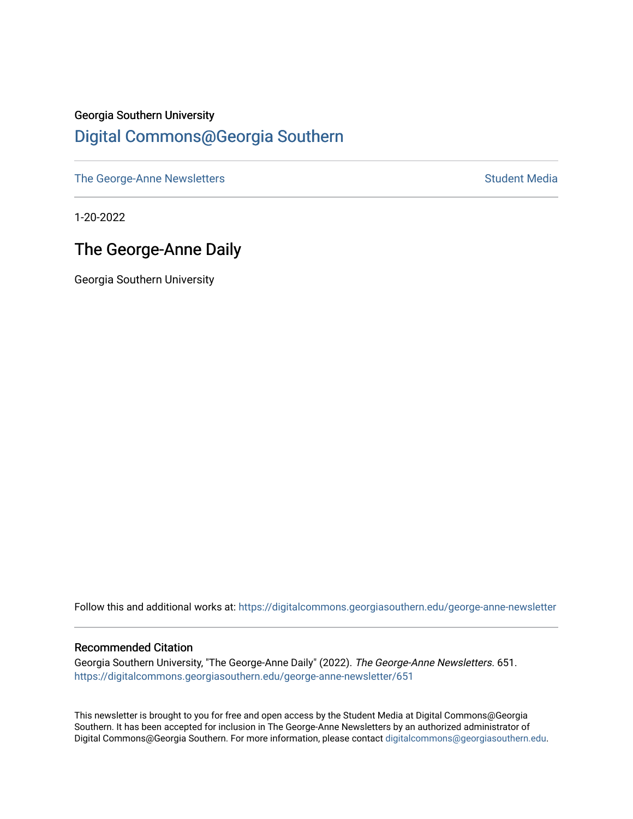# Georgia Southern University [Digital Commons@Georgia Southern](https://digitalcommons.georgiasouthern.edu/)

[The George-Anne Newsletters](https://digitalcommons.georgiasouthern.edu/george-anne-newsletter) **Student Media** Student Media

1-20-2022

# The George-Anne Daily

Georgia Southern University

Follow this and additional works at: [https://digitalcommons.georgiasouthern.edu/george-anne-newsletter](https://digitalcommons.georgiasouthern.edu/george-anne-newsletter?utm_source=digitalcommons.georgiasouthern.edu%2Fgeorge-anne-newsletter%2F651&utm_medium=PDF&utm_campaign=PDFCoverPages)

#### Recommended Citation

Georgia Southern University, "The George-Anne Daily" (2022). The George-Anne Newsletters. 651. [https://digitalcommons.georgiasouthern.edu/george-anne-newsletter/651](https://digitalcommons.georgiasouthern.edu/george-anne-newsletter/651?utm_source=digitalcommons.georgiasouthern.edu%2Fgeorge-anne-newsletter%2F651&utm_medium=PDF&utm_campaign=PDFCoverPages) 

This newsletter is brought to you for free and open access by the Student Media at Digital Commons@Georgia Southern. It has been accepted for inclusion in The George-Anne Newsletters by an authorized administrator of Digital Commons@Georgia Southern. For more information, please contact [digitalcommons@georgiasouthern.edu.](mailto:digitalcommons@georgiasouthern.edu)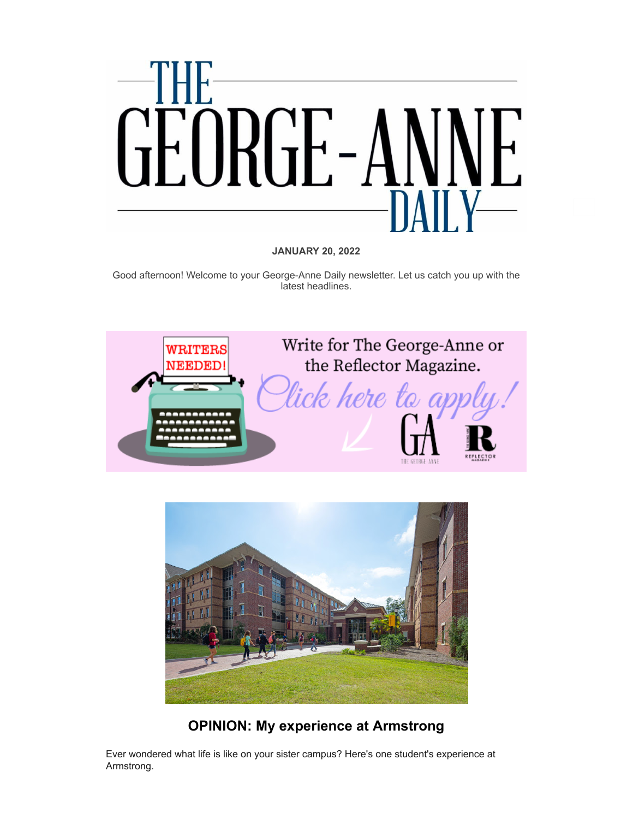

#### **JANUARY 20, 2022**

Good afternoon! Welcome to your George-Anne Daily newsletter. Let us catch you up with the latest headlines.





## **[OPINION: My experience at Armstrong](https://r20.rs6.net/tn.jsp?f=001u52xwi8oD795QcuMwqmoOmSjUifwjFA-21Kdj_FcNhnjf9iZn0bwFexZzDVvxjHVp71uSkofS8w3qnqXmcfBzFKat1LqfEdG13qwyCr7MqW42Z6TMy4cU4PhSjqXRzmEp5sI9gfqMAIUcvtH-o_Dv88SWnt-EdEiyNLQJzzPFJFaCb1ACsM5sMQ-FXM8VFj3BkGLEMbku5sdHktEKI_DqM7ZzR8Sm6nE&c=uGYxRiF6Meruc3YpMfAaOMANTB9FP5qe0MRlbfgdZ5lPlUsiu__aiw==&ch=bwdlxm7NE-v8SGG530jvSDfrH9hERM9UxLEkIc2d5DuhcEkI_h4bgA==)**

Ever wondered what life is like on your sister campus? Here's one student's experience at Armstrong.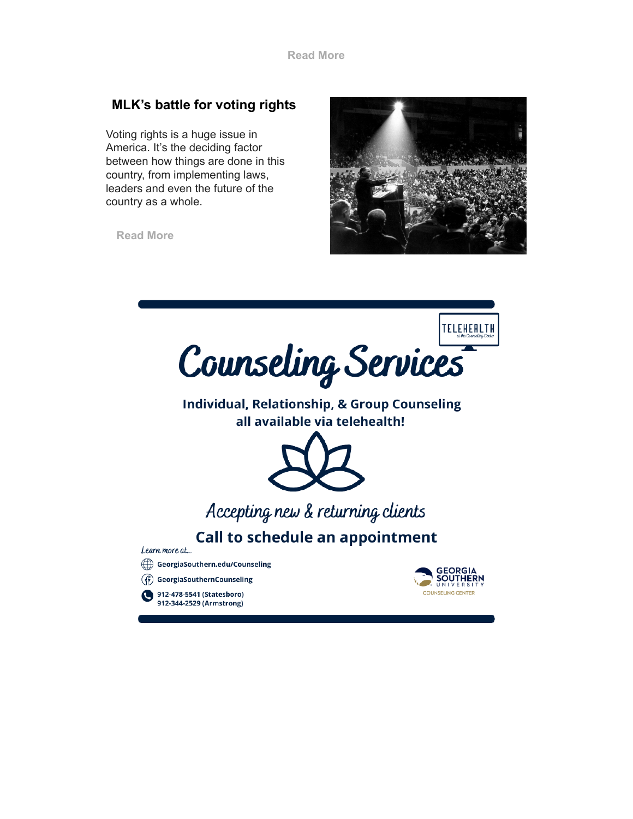### **[MLK's battle for voting rights](https://r20.rs6.net/tn.jsp?f=001u52xwi8oD795QcuMwqmoOmSjUifwjFA-21Kdj_FcNhnjf9iZn0bwFV5v6dA0GAg_3J48OriN35qbkLTspJgh9g93v_Zer3MEkTyGFyj0Sa2YwzVOG2S1iQQjroEI-UPFV6ODJ7S4tlmhMtRevhyjtXrtGElMepijbE2JAFuOqpwUDRHEz7eTvEv4AQc2VQyWZIRZwasrFJZ-bni1fnmg9d2Y8f4QbZt8Z3oHyIV7JLAqFNCVYQBfmA==&c=uGYxRiF6Meruc3YpMfAaOMANTB9FP5qe0MRlbfgdZ5lPlUsiu__aiw==&ch=bwdlxm7NE-v8SGG530jvSDfrH9hERM9UxLEkIc2d5DuhcEkI_h4bgA==)**

Voting rights is a huge issue in America. It's the deciding factor between how things are done in this country, from implementing laws, leaders and even the future of the country as a whole.

**[Read More](https://r20.rs6.net/tn.jsp?f=001u52xwi8oD795QcuMwqmoOmSjUifwjFA-21Kdj_FcNhnjf9iZn0bwFV5v6dA0GAg_3J48OriN35qbkLTspJgh9g93v_Zer3MEkTyGFyj0Sa2YwzVOG2S1iQQjroEI-UPFV6ODJ7S4tlmhMtRevhyjtXrtGElMepijbE2JAFuOqpwUDRHEz7eTvEv4AQc2VQyWZIRZwasrFJZ-bni1fnmg9d2Y8f4QbZt8Z3oHyIV7JLAqFNCVYQBfmA==&c=uGYxRiF6Meruc3YpMfAaOMANTB9FP5qe0MRlbfgdZ5lPlUsiu__aiw==&ch=bwdlxm7NE-v8SGG530jvSDfrH9hERM9UxLEkIc2d5DuhcEkI_h4bgA==)**



TELEHEALTH Counseling Services

**Individual, Relationship, & Group Counseling** all available via telehealth!



# Accepting new & returning clients

**Call to schedule an appointment** 

Learn more at...

- GeorgiaSouthern.edu/Counseling
- (4) GeorgiaSouthernCounseling



912-478-5541 (Statesboro) 912-344-2529 (Armstrong)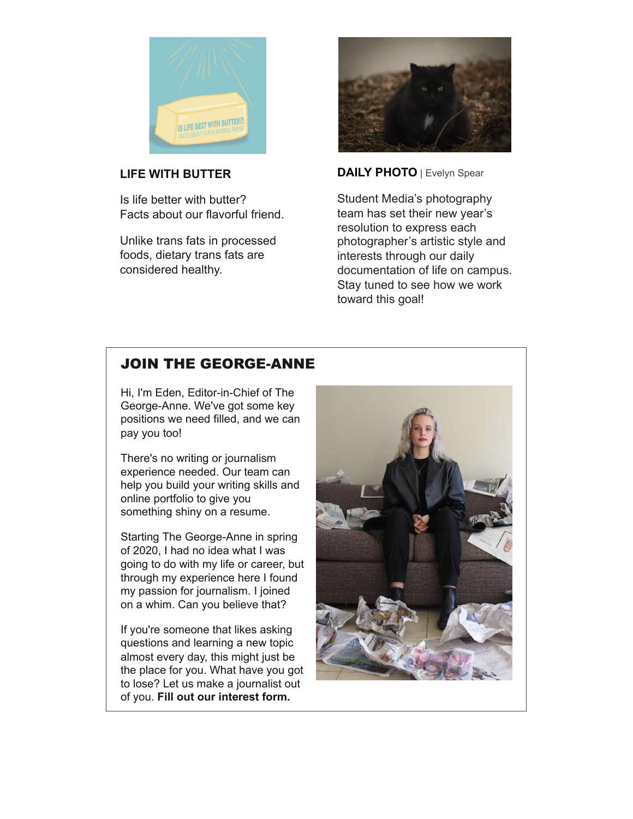

## **[LIFE WITH BUTTER](https://r20.rs6.net/tn.jsp?f=001u52xwi8oD795QcuMwqmoOmSjUifwjFA-21Kdj_FcNhnjf9iZn0bwFV5v6dA0GAg_XFCr5ZP0rYtvyXbMn2SpS0_lhztWWxQnwOt7B_iLkOoCZrbeJ3ndxipWQEJXvWijRtxoJpbCRn2aiPqN6qZAH0wNVSzQie7-mivacOCGIRr4iskG0W9CtQ_GKn8g8K3D&c=uGYxRiF6Meruc3YpMfAaOMANTB9FP5qe0MRlbfgdZ5lPlUsiu__aiw==&ch=bwdlxm7NE-v8SGG530jvSDfrH9hERM9UxLEkIc2d5DuhcEkI_h4bgA==)**

Is life better with butter? Facts about our flavorful friend.

Unlike trans fats in processed foods, dietary trans fats are considered healthy.



**[DAILY PHOTO](https://r20.rs6.net/tn.jsp?f=001u52xwi8oD795QcuMwqmoOmSjUifwjFA-21Kdj_FcNhnjf9iZn0bwFV5v6dA0GAg_be6U85mYIv3U1KVfsv1RIt6hTedvfzvka7PYEwI4s5keWPNO64lEXnHVWTsLaPD-2FHq4axgZL30yKSYtQJHRX6C5LAj79dP6S6iHu-_b5qjW4OfF5neKBdvSjl_CjFFjbFsXYK-FgE=&c=uGYxRiF6Meruc3YpMfAaOMANTB9FP5qe0MRlbfgdZ5lPlUsiu__aiw==&ch=bwdlxm7NE-v8SGG530jvSDfrH9hERM9UxLEkIc2d5DuhcEkI_h4bgA==)** | Evelyn Spear

Student Media's photography team has set their new year's resolution to express each photographer's artistic style and interests through our daily documentation of life on campus. Stay tuned to see how we work toward this goal!

## [JOIN THE GEORGE-ANNE](https://r20.rs6.net/tn.jsp?f=001u52xwi8oD795QcuMwqmoOmSjUifwjFA-21Kdj_FcNhnjf9iZn0bwFaHbkoti1cPsfGo9zqVu6VNx_EBalMu_EJSW8aXgOM4ni9V-SSNm86gAiB2H6gv88D2jiH-kYe-mxDVeLtVEpvqQVYMkLJod5EiHTBx9ftd2KDz477zEg7S180-Qm0zhrMdALIwOLXr91PFOCmvWAb8KigFXqXPAfOxLYrYzbujkOynkPmjP_BOiMJslOd5DYmpzMSMdNqsO0C__OxB8gJYbrcLYdacjhw==&c=uGYxRiF6Meruc3YpMfAaOMANTB9FP5qe0MRlbfgdZ5lPlUsiu__aiw==&ch=bwdlxm7NE-v8SGG530jvSDfrH9hERM9UxLEkIc2d5DuhcEkI_h4bgA==)

Hi, I'm Eden, Editor-in-Chief of The George-Anne. We've got some key positions we need filled, and we can pay you too!

There's no writing or journalism experience needed. Our team can help you build your writing skills and online portfolio to give you something shiny on a resume.

Starting The George-Anne in spring of 2020, I had no idea what I was going to do with my life or career, but through my experience here I found my passion for journalism. I joined on a whim. Can you believe that?

If you're someone that likes asking questions and learning a new topic almost every day, this might just be the place for you. What have you got to lose? Let us make a journalist out of you. **[Fill out our interest form.](https://r20.rs6.net/tn.jsp?f=001u52xwi8oD795QcuMwqmoOmSjUifwjFA-21Kdj_FcNhnjf9iZn0bwFaHbkoti1cPsfGo9zqVu6VNx_EBalMu_EJSW8aXgOM4ni9V-SSNm86gAiB2H6gv88D2jiH-kYe-mxDVeLtVEpvqQVYMkLJod5EiHTBx9ftd2KDz477zEg7S180-Qm0zhrMdALIwOLXr91PFOCmvWAb8KigFXqXPAfOxLYrYzbujkOynkPmjP_BOiMJslOd5DYmpzMSMdNqsO0C__OxB8gJYbrcLYdacjhw==&c=uGYxRiF6Meruc3YpMfAaOMANTB9FP5qe0MRlbfgdZ5lPlUsiu__aiw==&ch=bwdlxm7NE-v8SGG530jvSDfrH9hERM9UxLEkIc2d5DuhcEkI_h4bgA==)**